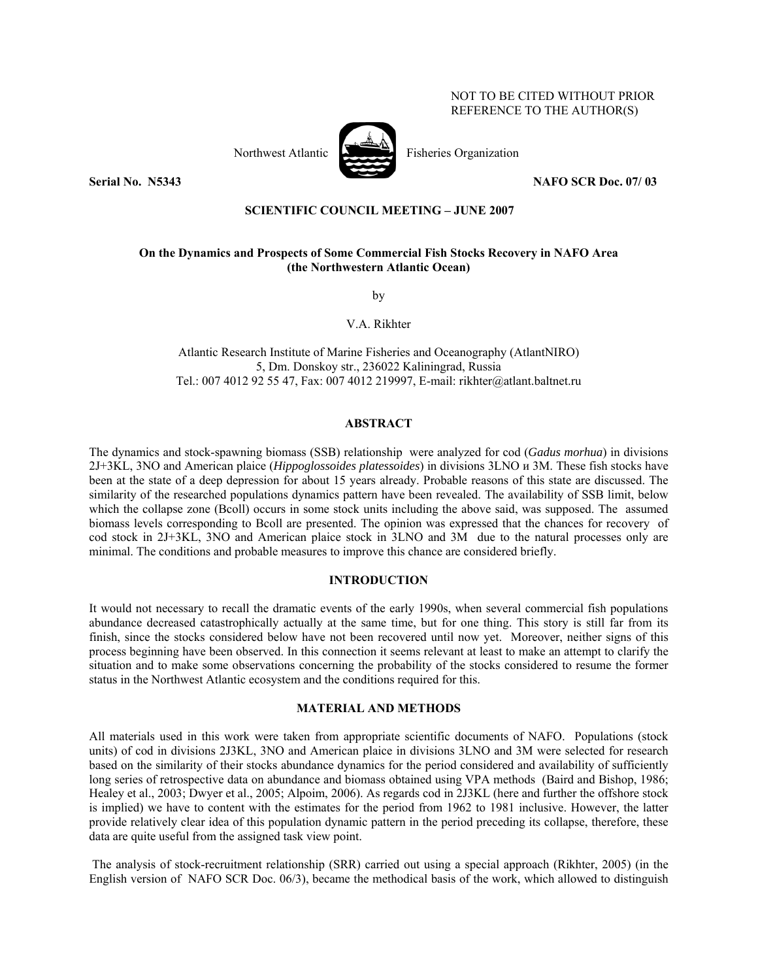# NOT TO BE CITED WITHOUT PRIOR REFERENCE TO THE AUTHOR(S)





Northwest Atlantic **Northuset Atlantic** Fisheries Organization

**Serial No. 35343** NAFO SCR Doc. 07/ 03

# **SCIENTIFIC COUNCIL MEETING – JUNE 2007**

# **On the Dynamics and Prospects of Some Commercial Fish Stocks Recovery in NAFO Area (the Northwestern Atlantic Ocean)**

by

V.A. Rikhter

Atlantic Research Institute of Marine Fisheries and Oceanography (AtlantNIRO) 5, Dm. Donskoy str., 236022 Kaliningrad, Russia Tel.: 007 4012 92 55 47, Fax: 007 4012 219997, E-mail: rikhter@atlant.baltnet.ru

# **ABSTRACT**

The dynamics and stock-spawning biomass (SSB) relationship were analyzed for cod (*Gadus morhua*) in divisions 2J+3KL, 3NO and American plaice (*Hippoglossoides platessoides*) in divisions 3LNO и 3М. These fish stocks have been at the state of a deep depression for about 15 years already. Probable reasons of this state are discussed. The similarity of the researched populations dynamics pattern have been revealed. The availability of SSB limit, below which the collapse zone (Bcoll) occurs in some stock units including the above said, was supposed. The assumed biomass levels corresponding to Bcoll are presented. The opinion was expressed that the chances for recovery of cod stock in 2J+3KL, 3NO and American plaice stock in 3LNO and 3М due to the natural processes only are minimal. The conditions and probable measures to improve this chance are considered briefly.

#### **INTRODUCTION**

It would not necessary to recall the dramatic events of the early 1990s, when several commercial fish populations abundance decreased catastrophically actually at the same time, but for one thing. This story is still far from its finish, since the stocks considered below have not been recovered until now yet. Moreover, neither signs of this process beginning have been observed. In this connection it seems relevant at least to make an attempt to clarify the situation and to make some observations concerning the probability of the stocks considered to resume the former status in the Northwest Atlantic ecosystem and the conditions required for this.

## **MATERIAL AND METHODS**

All materials used in this work were taken from appropriate scientific documents of NAFO. Populations (stock units) of cod in divisions 2J3KL, 3NO and American plaice in divisions 3LNO and 3М were selected for research based on the similarity of their stocks abundance dynamics for the period considered and availability of sufficiently long series of retrospective data on abundance and biomass obtained using VPA methods (Baird and Bishop, 1986; Healey et al., 2003; Dwyer et al., 2005; Alpoim, 2006). As regards cod in 2J3KL (here and further the offshore stock is implied) we have to content with the estimates for the period from 1962 to 1981 inclusive. However, the latter provide relatively clear idea of this population dynamic pattern in the period preceding its collapse, therefore, these data are quite useful from the assigned task view point.

 The analysis of stock-recruitment relationship (SRR) carried out using a special approach (Rikhter, 2005) (in the English version of NAFO SCR Doc. 06/3), became the methodical basis of the work, which allowed to distinguish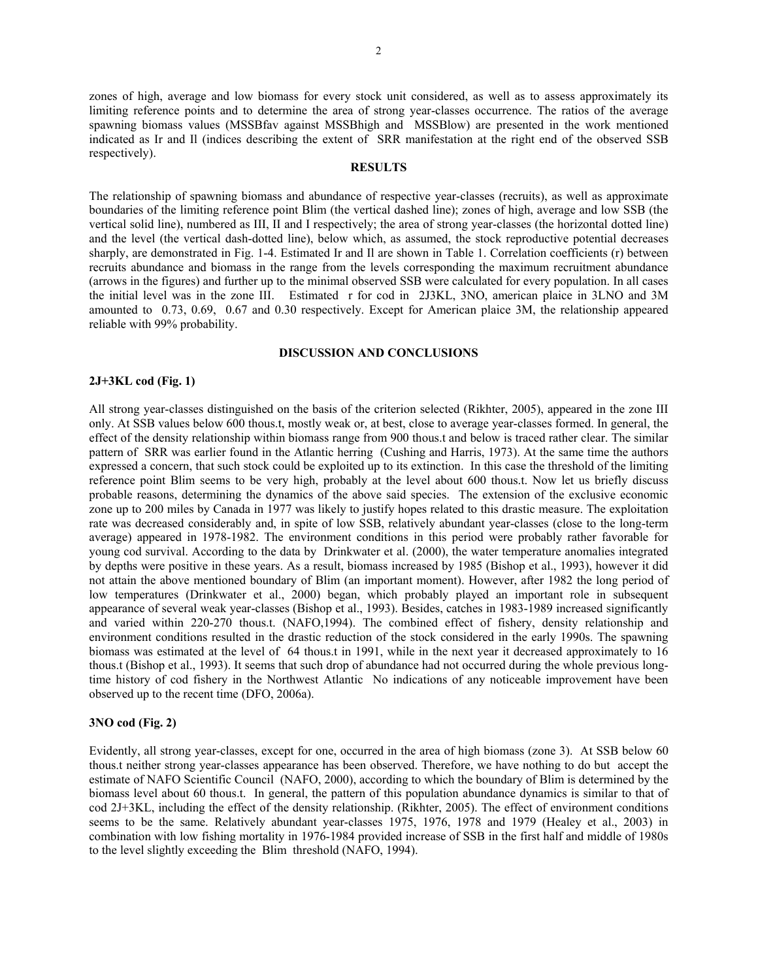zones of high, average and low biomass for every stock unit considered, as well as to assess approximately its limiting reference points and to determine the area of strong year-classes occurrence. The ratios of the average spawning biomass values (MSSBfav against MSSBhigh and MSSBlow) are presented in the work mentioned indicated as Ir and Il (indices describing the extent of SRR manifestation at the right end of the observed SSB respectively).

#### **RESULTS**

The relationship of spawning biomass and abundance of respective year-classes (recruits), as well as approximate boundaries of the limiting reference point Blim (the vertical dashed line); zones of high, average and low SSB (the vertical solid line), numbered as III, II and I respectively; the area of strong year-classes (the horizontal dotted line) and the level (the vertical dash-dotted line), below which, as assumed, the stock reproductive potential decreases sharply, are demonstrated in Fig. 1-4. Estimated Ir and Il are shown in Table 1. Correlation coefficients (r) between recruits abundance and biomass in the range from the levels corresponding the maximum recruitment abundance (arrows in the figures) and further up to the minimal observed SSB were calculated for every population. In all cases the initial level was in the zone III. Estimated r for cod in 2J3KL, 3NO, american plaice in 3LNO and 3M amounted to 0.73, 0.69, 0.67 and 0.30 respectively. Except for American plaice 3М, the relationship appeared reliable with 99% probability.

#### **DISCUSSION AND CONCLUSIONS**

#### **2J+3KL cod (Fig. 1)**

All strong year-classes distinguished on the basis of the criterion selected (Rikhter, 2005), appeared in the zone III only. At SSB values below 600 thous.t, mostly weak or, at best, close to average year-classes formed. In general, the effect of the density relationship within biomass range from 900 thous.t and below is traced rather clear. The similar pattern of SRR was earlier found in the Atlantic herring (Cushing and Harris, 1973). At the same time the authors expressed a concern, that such stock could be exploited up to its extinction. In this case the threshold of the limiting reference point Blim seems to be very high, probably at the level about 600 thous.t. Now let us briefly discuss probable reasons, determining the dynamics of the above said species. The extension of the exclusive economic zone up to 200 miles by Canada in 1977 was likely to justify hopes related to this drastic measure. The exploitation rate was decreased considerably and, in spite of low SSB, relatively abundant year-classes (close to the long-term average) appeared in 1978-1982. The environment conditions in this period were probably rather favorable for young cod survival. According to the data by Drinkwater et al. (2000), the water temperature anomalies integrated by depths were positive in these years. As a result, biomass increased by 1985 (Bishop et al., 1993), however it did not attain the above mentioned boundary of Blim (an important moment). However, after 1982 the long period of low temperatures (Drinkwater et al., 2000) began, which probably played an important role in subsequent appearance of several weak year-classes (Bishop et al., 1993). Besides, catches in 1983-1989 increased significantly and varied within 220-270 thous.t. (NAFO,1994). The combined effect of fishery, density relationship and environment conditions resulted in the drastic reduction of the stock considered in the early 1990s. The spawning biomass was estimated at the level of 64 thous.t in 1991, while in the next year it decreased approximately to 16 thous.t (Bishop et al., 1993). It seems that such drop of abundance had not occurred during the whole previous longtime history of cod fishery in the Northwest Atlantic No indications of any noticeable improvement have been observed up to the recent time (DFO, 2006a).

## **3NO cod (Fig. 2)**

Evidently, all strong year-classes, except for one, occurred in the area of high biomass (zone 3). At SSB below 60 thous.t neither strong year-classes appearance has been observed. Therefore, we have nothing to do but accept the estimate of NAFO Scientific Council (NAFO, 2000), according to which the boundary of Blim is determined by the biomass level about 60 thous.t. In general, the pattern of this population abundance dynamics is similar to that of cod 2J+3KL, including the effect of the density relationship. (Rikhter, 2005). The effect of environment conditions seems to be the same. Relatively abundant year-classes 1975, 1976, 1978 and 1979 (Healey et al., 2003) in combination with low fishing mortality in 1976-1984 provided increase of SSB in the first half and middle of 1980s to the level slightly exceeding the Blim threshold (NAFO, 1994).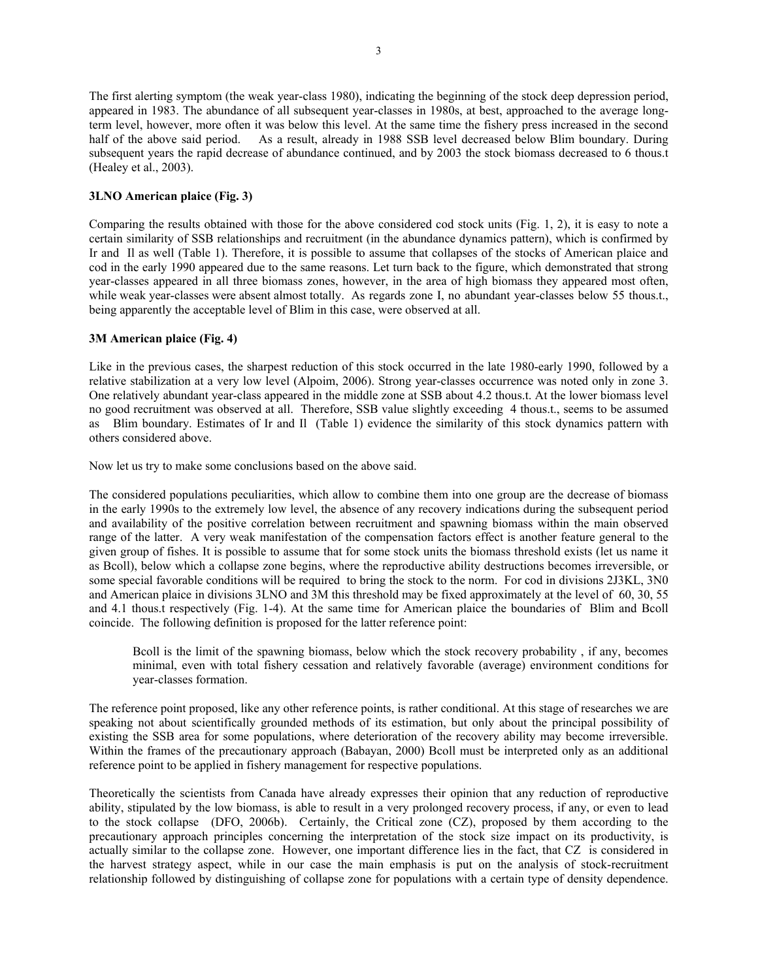The first alerting symptom (the weak year-class 1980), indicating the beginning of the stock deep depression period, appeared in 1983. The abundance of all subsequent year-classes in 1980s, at best, approached to the average longterm level, however, more often it was below this level. At the same time the fishery press increased in the second half of the above said period. As a result, already in 1988 SSB level decreased below Blim boundary. During subsequent years the rapid decrease of abundance continued, and by 2003 the stock biomass decreased to 6 thous.t (Healey et al., 2003).

# **3LNO American plaice (Fig. 3)**

Comparing the results obtained with those for the above considered cod stock units (Fig. 1, 2), it is easy to note a certain similarity of SSB relationships and recruitment (in the abundance dynamics pattern), which is confirmed by Ir and Il as well (Table 1). Therefore, it is possible to assume that collapses of the stocks of American plaice and cod in the early 1990 appeared due to the same reasons. Let turn back to the figure, which demonstrated that strong year-classes appeared in all three biomass zones, however, in the area of high biomass they appeared most often, while weak year-classes were absent almost totally. As regards zone I, no abundant year-classes below 55 thous.t., being apparently the acceptable level of Blim in this case, were observed at all.

# **3М American plaice (Fig. 4)**

Like in the previous cases, the sharpest reduction of this stock occurred in the late 1980-early 1990, followed by a relative stabilization at a very low level (Alpoim, 2006). Strong year-classes occurrence was noted only in zone 3. One relatively abundant year-class appeared in the middle zone at SSB about 4.2 thous.t. At the lower biomass level no good recruitment was observed at all. Therefore, SSB value slightly exceeding 4 thous.t., seems to be assumed as Blim boundary. Estimates of Ir and Il (Table 1) evidence the similarity of this stock dynamics pattern with others considered above.

Now let us try to make some conclusions based on the above said.

The considered populations peculiarities, which allow to combine them into one group are the decrease of biomass in the early 1990s to the extremely low level, the absence of any recovery indications during the subsequent period and availability of the positive correlation between recruitment and spawning biomass within the main observed range of the latter. A very weak manifestation of the compensation factors effect is another feature general to the given group of fishes. It is possible to assume that for some stock units the biomass threshold exists (let us name it as Bcoll), below which a collapse zone begins, where the reproductive ability destructions becomes irreversible, or some special favorable conditions will be required to bring the stock to the norm. For cod in divisions 2J3KL, 3N0 and American plaice in divisions 3LNO and 3М this threshold may be fixed approximately at the level of 60, 30, 55 and 4.1 thous.t respectively (Fig. 1-4). At the same time for American plaice the boundaries of Blim and Bcoll coincide. The following definition is proposed for the latter reference point:

Bcoll is the limit of the spawning biomass, below which the stock recovery probability , if any, becomes minimal, even with total fishery cessation and relatively favorable (average) environment conditions for year-classes formation.

The reference point proposed, like any other reference points, is rather conditional. At this stage of researches we are speaking not about scientifically grounded methods of its estimation, but only about the principal possibility of existing the SSB area for some populations, where deterioration of the recovery ability may become irreversible. Within the frames of the precautionary approach (Babayan, 2000) Bcoll must be interpreted only as an additional reference point to be applied in fishery management for respective populations.

Theoretically the scientists from Canada have already expresses their opinion that any reduction of reproductive ability, stipulated by the low biomass, is able to result in a very prolonged recovery process, if any, or even to lead to the stock collapse (DFO, 2006b). Certainly, the Critical zone (CZ), proposed by them according to the precautionary approach principles concerning the interpretation of the stock size impact on its productivity, is actually similar to the collapse zone. However, one important difference lies in the fact, that CZ is considered in the harvest strategy aspect, while in our case the main emphasis is put on the analysis of stock-recruitment relationship followed by distinguishing of collapse zone for populations with a certain type of density dependence.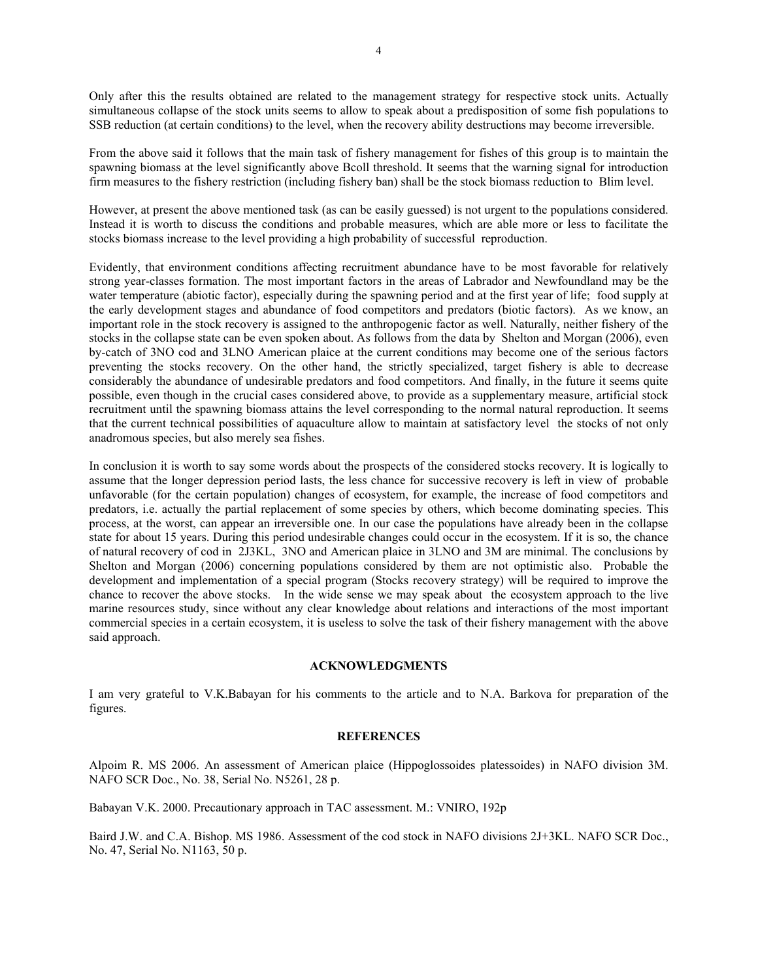Only after this the results obtained are related to the management strategy for respective stock units. Actually simultaneous collapse of the stock units seems to allow to speak about a predisposition of some fish populations to SSB reduction (at certain conditions) to the level, when the recovery ability destructions may become irreversible.

From the above said it follows that the main task of fishery management for fishes of this group is to maintain the spawning biomass at the level significantly above Bcoll threshold. It seems that the warning signal for introduction firm measures to the fishery restriction (including fishery ban) shall be the stock biomass reduction to Blim level.

However, at present the above mentioned task (as can be easily guessed) is not urgent to the populations considered. Instead it is worth to discuss the conditions and probable measures, which are able more or less to facilitate the stocks biomass increase to the level providing a high probability of successful reproduction.

Evidently, that environment conditions affecting recruitment abundance have to be most favorable for relatively strong year-classes formation. The most important factors in the areas of Labrador and Newfoundland may be the water temperature (abiotic factor), especially during the spawning period and at the first year of life; food supply at the early development stages and abundance of food competitors and predators (biotic factors). As we know, an important role in the stock recovery is assigned to the anthropogenic factor as well. Naturally, neither fishery of the stocks in the collapse state can be even spoken about. As follows from the data by Shelton and Morgan (2006), even by-catch of 3NO cod and 3LNO American plaice at the current conditions may become one of the serious factors preventing the stocks recovery. On the other hand, the strictly specialized, target fishery is able to decrease considerably the abundance of undesirable predators and food competitors. And finally, in the future it seems quite possible, even though in the crucial cases considered above, to provide as a supplementary measure, artificial stock recruitment until the spawning biomass attains the level corresponding to the normal natural reproduction. It seems that the current technical possibilities of aquaculture allow to maintain at satisfactory level the stocks of not only anadromous species, but also merely sea fishes.

In conclusion it is worth to say some words about the prospects of the considered stocks recovery. It is logically to assume that the longer depression period lasts, the less chance for successive recovery is left in view of probable unfavorable (for the certain population) changes of ecosystem, for example, the increase of food competitors and predators, i.e. actually the partial replacement of some species by others, which become dominating species. This process, at the worst, can appear an irreversible one. In our case the populations have already been in the collapse state for about 15 years. During this period undesirable changes could occur in the ecosystem. If it is so, the chance of natural recovery of cod in 2J3KL, 3NO and American plaice in 3LNO and 3М are minimal. The conclusions by Shelton and Morgan (2006) concerning populations considered by them are not optimistic also. Probable the development and implementation of a special program (Stocks recovery strategy) will be required to improve the chance to recover the above stocks. In the wide sense we may speak about the ecosystem approach to the live marine resources study, since without any clear knowledge about relations and interactions of the most important commercial species in a certain ecosystem, it is useless to solve the task of their fishery management with the above said approach.

#### **ACKNOWLEDGMENTS**

I am very grateful to V.K.Babayan for his comments to the article and to N.A. Barkova for preparation of the figures.

# **REFERENCES**

Alpoim R. MS 2006. An assessment of American plaice (Hippoglossoides platessoides) in NAFO division 3M. NAFO SCR Doc., No. 38, Serial No. N5261, 28 p.

Babayan V.K. 2000. Precautionary approach in TAC assessment. M.: VNIRO, 192p

Baird J.W. and C.A. Bishop. MS 1986. Assessment of the cod stock in NAFO divisions 2J+3KL. NAFO SCR Doc., No. 47, Serial No. N1163, 50 p.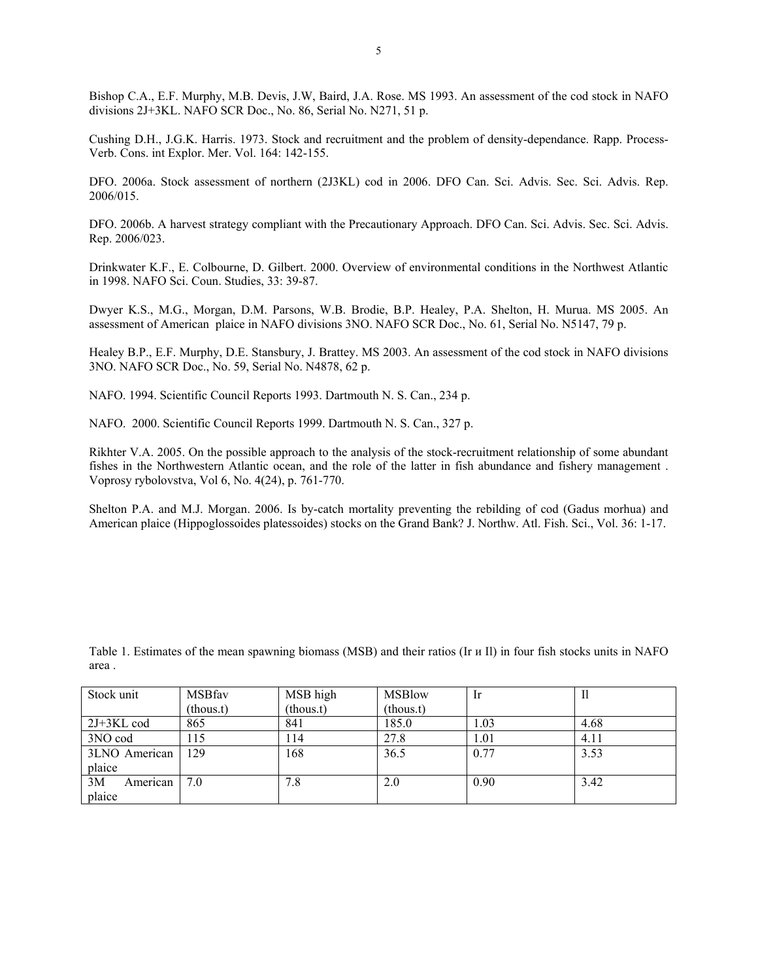Bishop C.A., E.F. Murphy, M.B. Devis, J.W, Baird, J.A. Rose. MS 1993. An assessment of the cod stock in NAFO divisions 2J+3KL. NAFO SCR Doc., No. 86, Serial No. N271, 51 p.

Cushing D.H., J.G.K. Harris. 1973. Stock and recruitment and the problem of density-dependance. Rapp. Process-Verb. Cons. int Explor. Mer. Vol. 164: 142-155.

DFO. 2006a. Stock assessment of northern (2J3KL) cod in 2006. DFO Can. Sci. Advis. Sec. Sci. Advis. Rep. 2006/015.

DFO. 2006b. A harvest strategy compliant with the Precautionary Approach. DFO Can. Sci. Advis. Sec. Sci. Advis. Rep. 2006/023.

Drinkwater K.F., E. Colbourne, D. Gilbert. 2000. Overview of environmental conditions in the Northwest Atlantic in 1998. NAFO Sci. Coun. Studies, 33: 39-87.

Dwyer K.S., M.G., Morgan, D.M. Parsons, W.B. Brodie, B.P. Healey, P.A. Shelton, H. Murua. MS 2005. An assessment of American plaice in NAFO divisions 3NO. NAFO SCR Doc., No. 61, Serial No. N5147, 79 p.

Healey B.P., E.F. Murphy, D.E. Stansbury, J. Brattey. MS 2003. An assessment of the cod stock in NAFO divisions 3NO. NAFO SCR Doc., No. 59, Serial No. N4878, 62 p.

NAFO. 1994. Scientific Council Reports 1993. Dartmouth N. S. Can., 234 p.

NAFO. 2000. Scientific Council Reports 1999. Dartmouth N. S. Can., 327 p.

Rikhter V.A. 2005. On the possible approach to the analysis of the stock-recruitment relationship of some abundant fishes in the Northwestern Atlantic ocean, and the role of the latter in fish abundance and fishery management . Voprosy rybolovstva, Vol 6, No. 4(24), p. 761-770.

Shelton P.A. and M.J. Morgan. 2006. Is by-catch mortality preventing the rebilding of cod (Gadus morhua) and American plaice (Hippoglossoides platessoides) stocks on the Grand Bank? J. Northw. Atl. Fish. Sci., Vol. 36: 1-17.

Table 1. Estimates of the mean spawning biomass (MSB) and their ratios (Ir и Il) in four fish stocks units in NAFO area .

| Stock unit     | <b>MSBfav</b> | MSB high    | <b>MSBlow</b> | -lr  | 11   |
|----------------|---------------|-------------|---------------|------|------|
|                | (thous.t)     | $-thous.t)$ | (hous.t)      |      |      |
| $2J+3KL$ cod   | 865           | 841         | 185.0         | 1.03 | 4.68 |
| 3NO cod        | 115           | l 14        | 27.8          | 1.01 | 4.11 |
| 3LNO American  | 129           | 168         | 36.5          | 0.77 | 3.53 |
| plaice         |               |             |               |      |      |
| 3M<br>American | 7.0           | 7.8         | 2.0           | 0.90 | 3.42 |
| plaice         |               |             |               |      |      |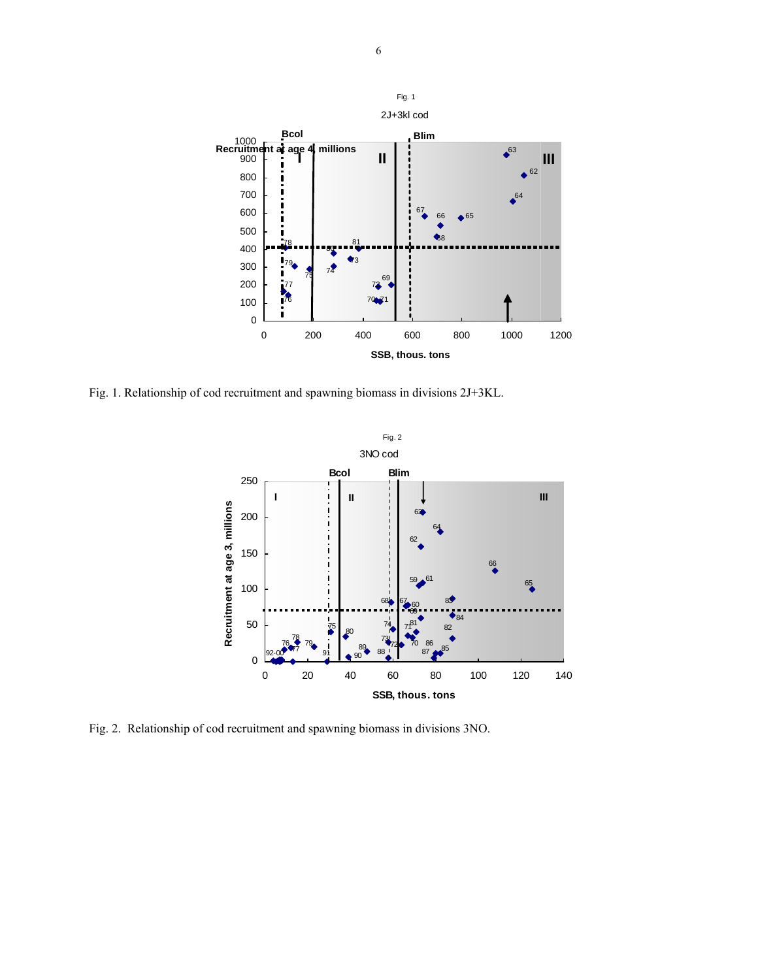

Fig. 1. Relationship of cod recruitment and spawning biomass in divisions 2J+3KL.



Fig. 2. Relationship of cod recruitment and spawning biomass in divisions 3NO.